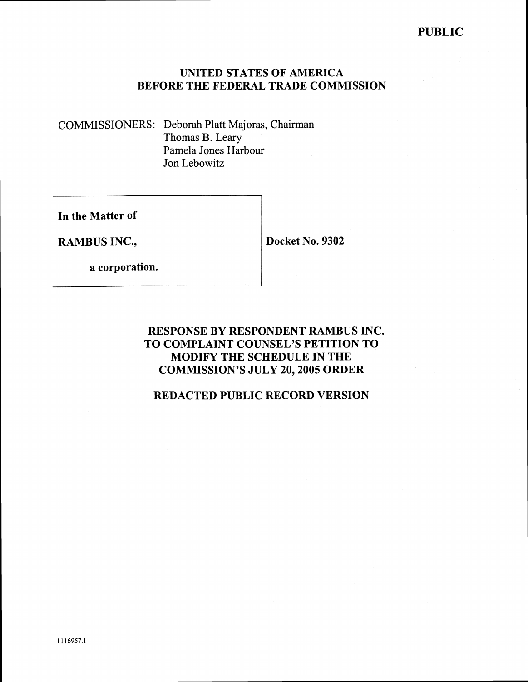## **UNITED STATES OF AMERICA BEFORE THE FEDERAL TRADE COMMISSION**

COMMISSIONERS: Deborah Platt Majoras, Chairman Thomas B. Leary Pamela Jones Harbour Jon Lebowitz

**In the Matter of** 

**RAMBUS INC., I Docket No. 9302** 

**a corporation.** 

### **RESPONSE BY RESPONDENT RAMBUS INC. TO COMPLAINT COUNSEL'S PETITION TO MODIFY THE SCHEDULE IN THE COMMISSION'S JULY 20,2005 ORDER**

## **REDACTED PUBLIC RECORD VERSION**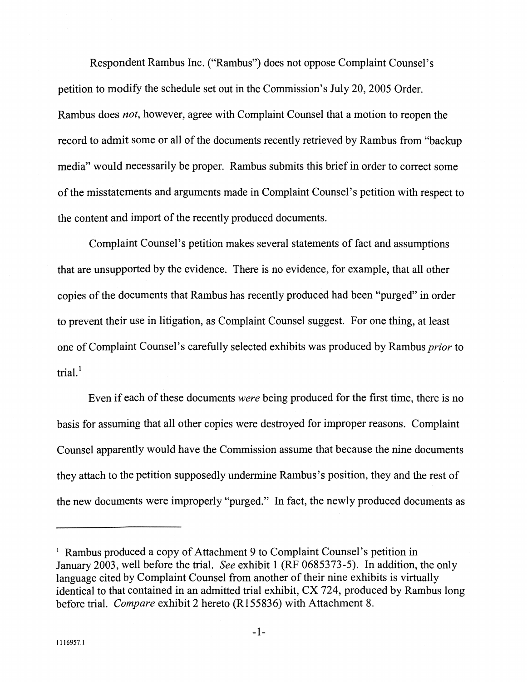Respondent Rambus Inc. ("Rambus") does not oppose Complaint Counsel's petition to modify the schedule set out in the Commission's July 20,2005 Order. Rambus does *not,* however, agree with Complaint Counsel that a motion to reopen the record to admit some or all of the documents recently retrieved by Rambus from "backup media" would necessarily be proper. Rambus submits this brief in order to correct some of the misstatements and arguments made in Complaint Counsel's petition with respect to the content and import of the recently produced documents.

Complaint Counsel's petition makes several statements of fact and assumptions that are unsupported by the evidence. There is no evidence, for example, that all other copies of the documents that Rambus has recently produced had been "purged" in order to prevent their use in litigation, as Complaint Counsel suggest. For one thing, at least one of Complaint Counsel's carefully selected exhibits was produced by Rambus *prior* to trial.'

Even if each of these documents *were* being produced for the first time, there is no basis for assuming that all other copies were destroyed for improper reasons. Complaint Counsel apparently would have the Commission assume that because the nine documents they attach to the petition supposedly undermine Rambus's position, they and the rest of the new documents were improperly "purged." In fact, the newly produced documents as

Rambus produced a copy of Attachment 9 to Complaint Counsel's petition in January 2003, well before the trial. *See* exhibit 1 (RF 0685373-5). In addition, the only language cited by Complaint Counsel from another of their nine exhibits is virtually identical to that contained in an admitted trial exhibit,  $CX$  724, produced by Rambus long before trial. *Compare* exhibit 2 hereto (R155836) with Attachment 8.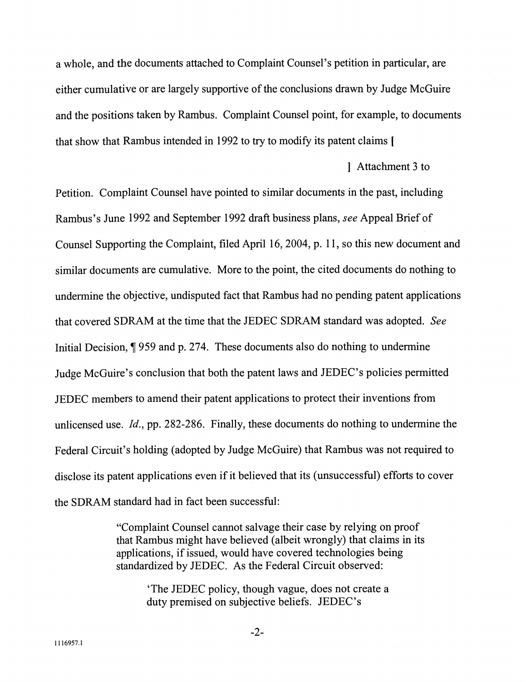a whole, and the documents attached to Complaint Counsel's petition in particular, are either cumulative or are largely supportive of the conclusions drawn by Judge McGuire and the positions taken by Rambus. Complaint Counsel point, for example, to documents that show that Rambus intended in 1992 to try to modify its patent claims [

] Attachment 3 to

Petition. Complaint Counsel have pointed to similar documents in the past, including Rambus's June 1992 and September 1992 draft business plans, see Appeal Brief of Counsel Supporting the Complaint, filed April 16,2004, p. 1 1, so this new document and similar documents are cumulative. More to the point, the cited documents do nothing to undermine the objective, undisputed fact that Rambus had no pending patent applications that covered SDRAM at the time that the JEDEC SDRAM standard was adopted. See Initial Decision, *7* 959 and p. 274. These documents also do nothing to undermine Judge McGuire's conclusion that both the patent laws and JEDEC's policies permitted JEDEC members to amend their patent applications to protect their inventions from unlicensed use. *Id.,* pp. 282-286. Finally, these documents do nothing to undermine the Federal Circuit's holding (adopted by Judge McGuire) that Rambus was not required to disclose its patent applications even if it believed that its (unsuccessful) efforts to cover the SDRAM standard had in fact been successful:

> "Complaint Counsel cannot salvage their case by relying on proof that Rambus might have believed (albeit wrongly) that claims in its applications, if issued, would have covered technologies being standardized by JEDEC. As the Federal Circuit observed:

'The JEDEC policy, though vague, does not create a duty premised on subjective beliefs. JEDEC's

 $-2-$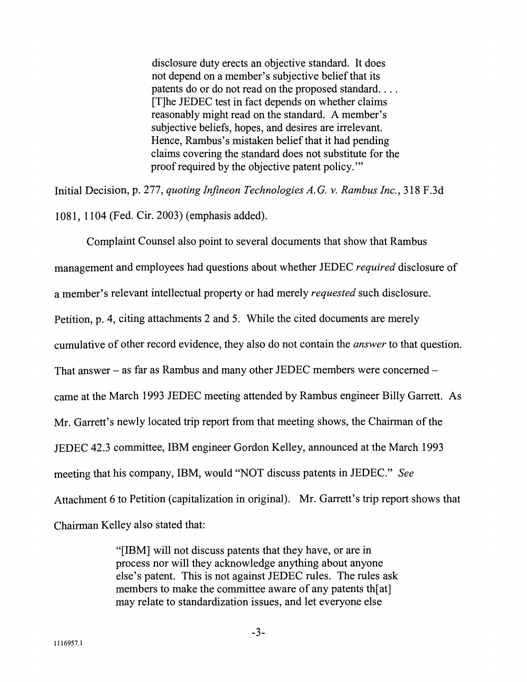disclosure duty erects an objective standard. It does not depend on a member's subjective belief that its patents do or do not read on the proposed standard. . . . [Tlhe JEDEC test in fact depends on whether claims reasonably might read on the standard. A member's subjective beliefs, hopes, and desires are irrelevant. Hence, Rambus's mistaken belief that it had pending claims covering the standard does not substitute for the proof required by the objective patent policy.'"

Initial Decision, p. 277, quoting Infneon Technologies *A.* G. v. Rambus Inc., 3 18 F.3d 108 1, 1 104 (Fed. Cir. 2003) (emphasis added).

Complaint Counsel also point to several documents that show that Rambus management and employees had questions about whether JEDEC *required* disclosure of a member's relevant intellectual property or had merely requested such disclosure. Petition, p. 4, citing attachments 2 and *5.* While the cited documents are merely cumulative of other record evidence, they also do not contain the answer to that question. That answer  $-$  as far as Rambus and many other JEDEC members were concerned  $$ came at the March 1993 JEDEC meeting attended by Rambus engineer Billy Garrett. As Mr. Garrett's newly located trip report from that meeting shows, the Chairman of the JEDEC 42.3 committee, IBM engineer Gordon Kelley, announced at the March 1993 meeting that his company, IBM, would "NOT discuss patents in JEDEC." See Attachment 6 to Petition (capitalization in original). Mr. Garrett's trip report shows that Chairman Kelley also stated that:

> "[IBM] will not discuss patents that they have, or are in process nor will they acknowledge anything about anyone else's patent. This is not against JEDEC rules. The rules ask members to make the committee aware of any patents th[at] may relate to standardization issues, and let everyone else

 $-3-$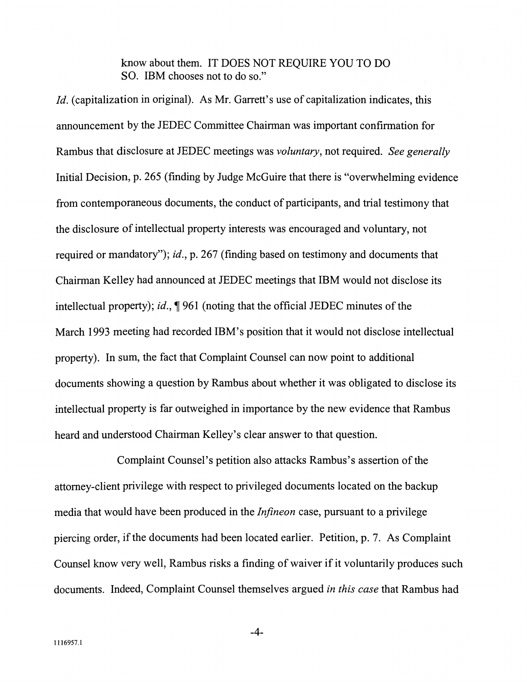know about them. IT DOES NOT REQUIRE YOU TO DO SO. IBM chooses not to do so."

Id. (capitalization in original). As Mr. Garrett's use of capitalization indicates, this announcement by the JEDEC Committee Chairman was important confirmation for Rambus that disclosure at JEDEC meetings was *voluntary*, not required. See generally Initial Decision, p. 265 (finding by Judge McGuire that there is "overwhelming evidence from contemporaneous documents, the conduct of participants, and trial testimony that the disclosure of intellectual property interests was encouraged and voluntary, not required or mandatory"); *id.*, p. 267 (finding based on testimony and documents that Chairman Kelley had announced at JEDEC meetings that IBM would not disclose its intellectual property); id., *7* 961 (noting that the official JEDEC minutes of the March 1993 meeting had recorded IBM's position that it would not disclose intellectual property). In sum, the fact that Complaint Counsel can now point to additional documents showing a question by Rambus about whether it was obligated to disclose its intellectual property is far outweighed in importance by the new evidence that Rambus heard and understood Chairman Kelley's clear answer to that question.

Complaint Counsel's petition also attacks Rambus's assertion of the attorney-client privilege with respect to privileged documents located on the backup media that would have been produced in the *Infineon* case, pursuant to a privilege piercing order, if the documents had been located earlier. Petition, p. 7. As Complaint Counsel know very well, Rambus risks a finding of waiver if it voluntarily produces such documents. Indeed, Complaint Counsel themselves argued in this case that Rambus had

 $-4-$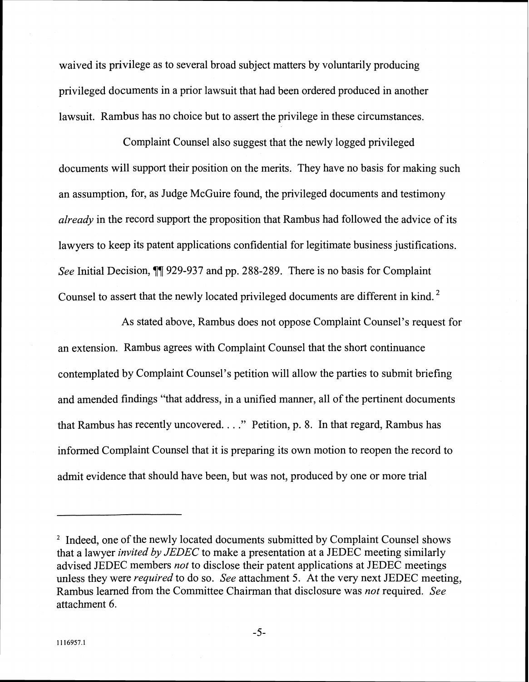waived its privilege as to several broad subject matters by voluntarily producing privileged documents in a prior lawsuit that had been ordered produced in another lawsuit. Rambus has no choice but to assert the privilege in these circumstances.

Complaint Counsel also suggest that the newly logged privileged documents will support their position on the merits. They have no basis for making such an assumption, for, as Judge McGuire found, the privileged documents and testimony *already* in the record support the proposition that Rambus had followed the advice of its lawyers to keep its patent applications confidential for legitimate business justifications. *See* Initial Decision, **71** 929-937 and pp. 288-289. There is no basis for Complaint Counsel to assert that the newly located privileged documents are different in kind.

As stated above, Rambus does not oppose Complaint Counsel's request for an extension. Rambus agrees with Complaint Counsel that the short continuance contemplated by Complaint Counsel's petition will allow the parties to submit briefing and amended findings "that address, in a unified manner, all of the pertinent documents that Rambus has recently uncovered. . . ." Petition, p. 8. In that regard, Rambus has informed Complaint Counsel that it is preparing its own motion to reopen the record to admit evidence that should have been, but was not, produced by one or more trial

<sup>&</sup>lt;sup>2</sup> Indeed, one of the newly located documents submitted by Complaint Counsel shows that a lawyer *invited by* JEDEC to make a presentation at a JEDEC meeting similarly advised JEDEC members *not* to disclose their patent applications at JEDEC meetings unless they were *required* to do so. *See* attachment *5.* At the very next JEDEC meeting, Rambus learned from the Committee Chairman that disclosure was *not* required. *See*  attachment 6.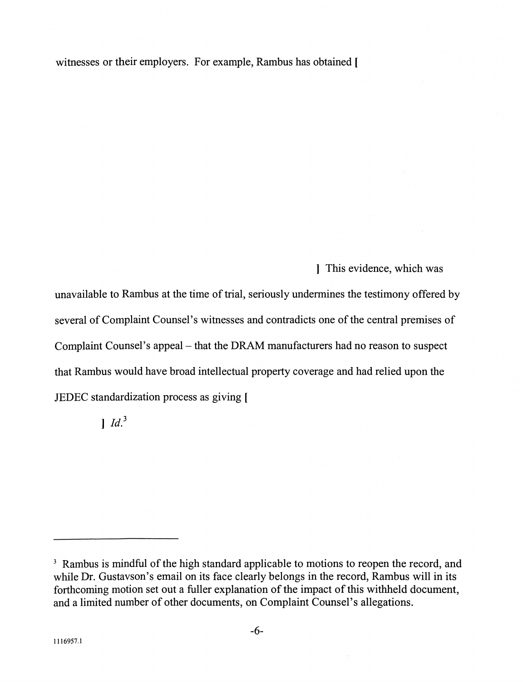witnesses or their employers. For example, Rambus has obtained [

] This evidence, which was

unavailable to Rambus at the time of trial, seriously undermines the testimony offered by several of Complaint Counsel's witnesses and contradicts one of the central premises of Complaint Counsel's appeal - that the DRAM manufacturers had no reason to suspect that Rambus would have broad intellectual property coverage and had relied upon the JEDEC standardization process as giving [

 $1$   $Id.<sup>3</sup>$ 

<sup>&</sup>lt;sup>3</sup> Rambus is mindful of the high standard applicable to motions to reopen the record, and while Dr. Gustavson's email on its face clearly belongs in the record, Rambus will in its forthcoming motion set out a fuller explanation of the impact of this withheld document, and a limited number of other documents, on Complaint Counsel's allegations.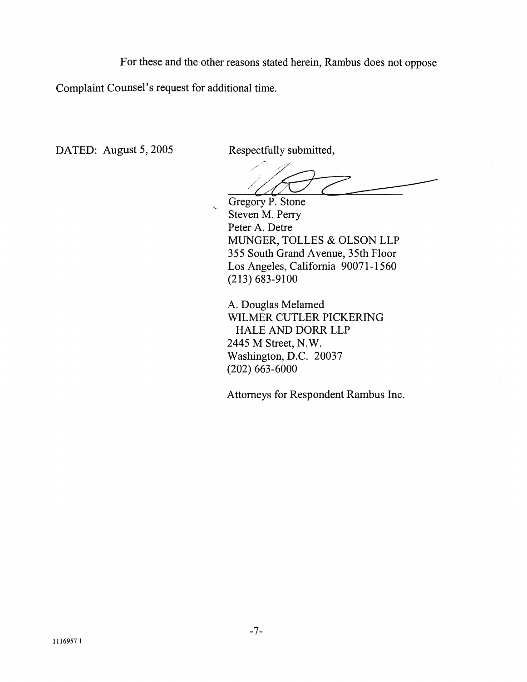For these and the other reasons stated herein, Rambus does not oppose

Complaint Counsel's request for additional time.

DATED: August 5, 2005 Respectfully submitted,

Gregory P. Stone Steven M. Perry Peter A. Detre MUNGER, TOLLES & OLSON LLP 355 South Grand Avenue, 35th Floor Los Angeles, California 90071-1560  $(213) 683 - 9100$ 

A. Douglas Melamed WILMER CUTLER PICKERING HALE AND DORR LLP 2445 M Street, N.W. Washington, D.C. 20037 (202) 663-6000

Attorneys for Respondent Rambus Inc.